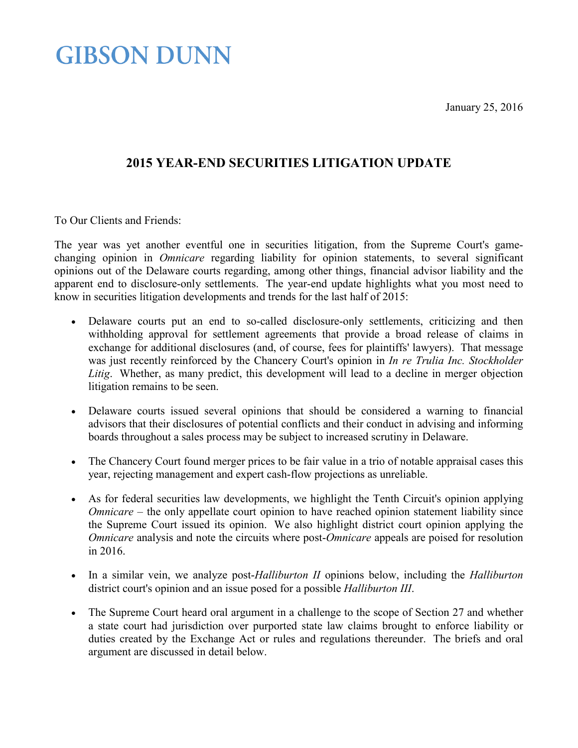January 25, 2016

### **GIBSON DUNN**

### **2015 YEAR-END SECURITIES LITIGATION UPDATE**

To Our Clients and Friends:

The year was yet another eventful one in securities litigation, from the Supreme Court's gamechanging opinion in *Omnicare* regarding liability for opinion statements, to several significant opinions out of the Delaware courts regarding, among other things, financial advisor liability and the apparent end to disclosure-only settlements. The year-end update highlights what you most need to know in securities litigation developments and trends for the last half of 2015:

- Delaware courts put an end to so-called disclosure-only settlements, criticizing and then withholding approval for settlement agreements that provide a broad release of claims in exchange for additional disclosures (and, of course, fees for plaintiffs' lawyers). That message was just recently reinforced by the Chancery Court's opinion in *In re Trulia Inc. Stockholder Litig*. Whether, as many predict, this development will lead to a decline in merger objection litigation remains to be seen.
- Delaware courts issued several opinions that should be considered a warning to financial advisors that their disclosures of potential conflicts and their conduct in advising and informing boards throughout a sales process may be subject to increased scrutiny in Delaware.
- The Chancery Court found merger prices to be fair value in a trio of notable appraisal cases this year, rejecting management and expert cash-flow projections as unreliable.
- As for federal securities law developments, we highlight the Tenth Circuit's opinion applying *Omnicare* – the only appellate court opinion to have reached opinion statement liability since the Supreme Court issued its opinion. We also highlight district court opinion applying the *Omnicare* analysis and note the circuits where post-*Omnicare* appeals are poised for resolution in 2016.
- In a similar vein, we analyze post-*Halliburton II* opinions below, including the *Halliburton*  district court's opinion and an issue posed for a possible *Halliburton III*.
- The Supreme Court heard oral argument in a challenge to the scope of Section 27 and whether a state court had jurisdiction over purported state law claims brought to enforce liability or duties created by the Exchange Act or rules and regulations thereunder. The briefs and oral argument are discussed in detail below.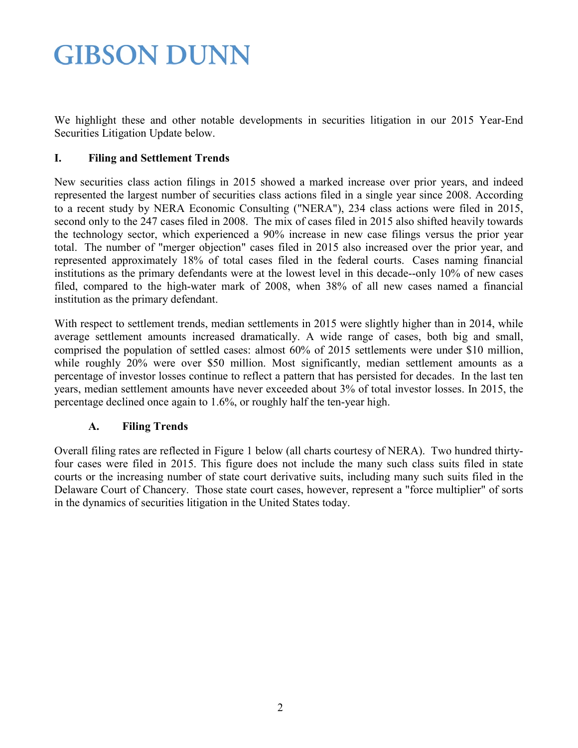We highlight these and other notable developments in securities litigation in our 2015 Year-End Securities Litigation Update below.

#### **I. Filing and Settlement Trends**

New securities class action filings in 2015 showed a marked increase over prior years, and indeed represented the largest number of securities class actions filed in a single year since 2008. According to a recent study by NERA Economic Consulting ("NERA"), 234 class actions were filed in 2015, second only to the 247 cases filed in 2008. The mix of cases filed in 2015 also shifted heavily towards the technology sector, which experienced a 90% increase in new case filings versus the prior year total. The number of "merger objection" cases filed in 2015 also increased over the prior year, and represented approximately 18% of total cases filed in the federal courts. Cases naming financial institutions as the primary defendants were at the lowest level in this decade--only 10% of new cases filed, compared to the high-water mark of 2008, when 38% of all new cases named a financial institution as the primary defendant.

With respect to settlement trends, median settlements in 2015 were slightly higher than in 2014, while average settlement amounts increased dramatically. A wide range of cases, both big and small, comprised the population of settled cases: almost 60% of 2015 settlements were under \$10 million, while roughly 20% were over \$50 million. Most significantly, median settlement amounts as a percentage of investor losses continue to reflect a pattern that has persisted for decades. In the last ten years, median settlement amounts have never exceeded about 3% of total investor losses. In 2015, the percentage declined once again to 1.6%, or roughly half the ten-year high.

#### **A. Filing Trends**

Overall filing rates are reflected in Figure 1 below (all charts courtesy of NERA). Two hundred thirtyfour cases were filed in 2015. This figure does not include the many such class suits filed in state courts or the increasing number of state court derivative suits, including many such suits filed in the Delaware Court of Chancery. Those state court cases, however, represent a "force multiplier" of sorts in the dynamics of securities litigation in the United States today.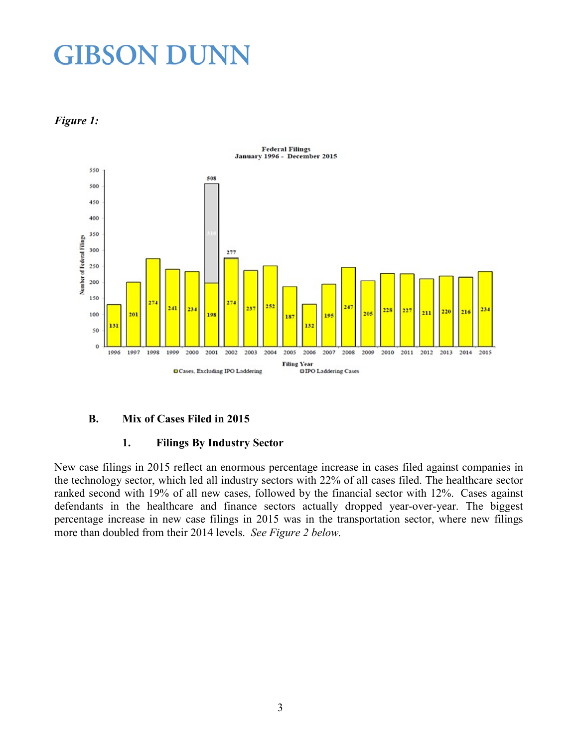



#### **B. Mix of Cases Filed in 2015**

#### **1. Filings By Industry Sector**

New case filings in 2015 reflect an enormous percentage increase in cases filed against companies in the technology sector, which led all industry sectors with 22% of all cases filed. The healthcare sector ranked second with 19% of all new cases, followed by the financial sector with 12%. Cases against defendants in the healthcare and finance sectors actually dropped year-over-year. The biggest percentage increase in new case filings in 2015 was in the transportation sector, where new filings more than doubled from their 2014 levels. *See Figure 2 below.*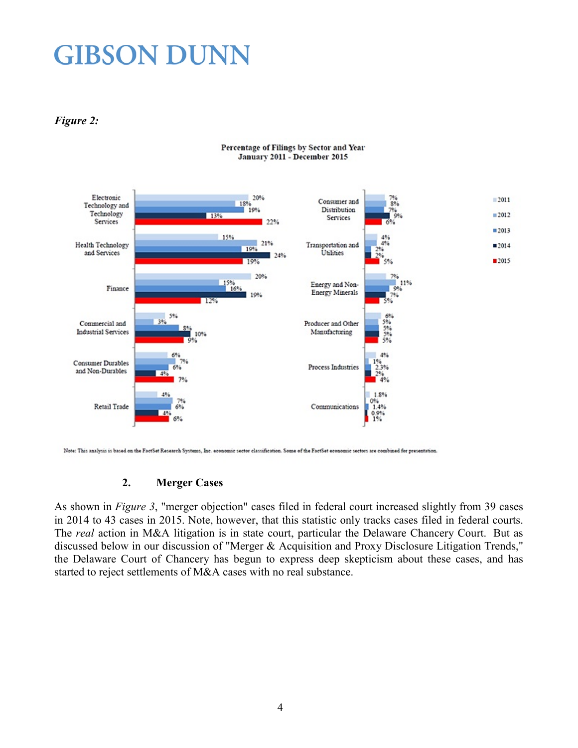*Figure 2:*



Percentage of Filings by Sector and Year January 2011 - December 2015

Note: This analysis is based on the FactSet Research Systems, Inc. economic sector classification. Some of the FactSet economic sectors are combined for presentation.

#### **2. Merger Cases**

As shown in *Figure 3*, "merger objection" cases filed in federal court increased slightly from 39 cases in 2014 to 43 cases in 2015. Note, however, that this statistic only tracks cases filed in federal courts. The *real* action in M&A litigation is in state court, particular the Delaware Chancery Court. But as discussed below in our discussion of "Merger & Acquisition and Proxy Disclosure Litigation Trends," the Delaware Court of Chancery has begun to express deep skepticism about these cases, and has started to reject settlements of M&A cases with no real substance.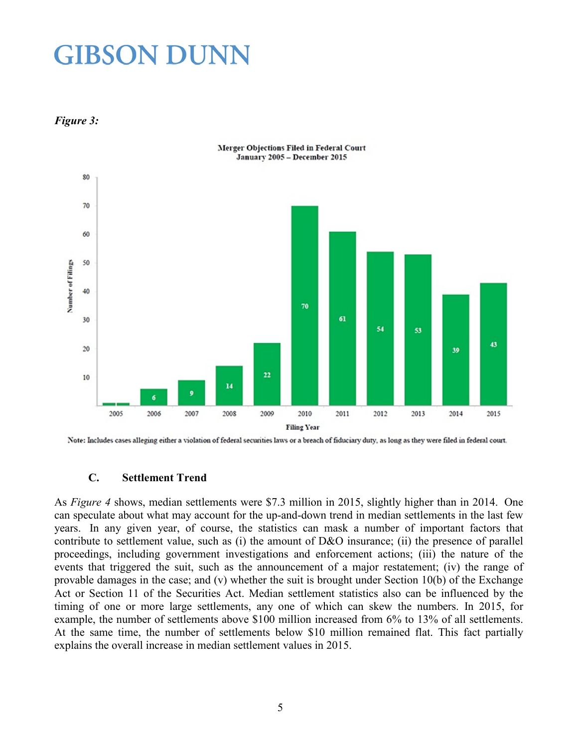*Figure 3:*



Merger Objections Filed in Federal Court

Note: Includes cases alleging either a violation of federal securities laws or a breach of fiduciary duty, as long as they were filed in federal court.

#### **C. Settlement Trend**

As *Figure 4* shows, median settlements were \$7.3 million in 2015, slightly higher than in 2014. One can speculate about what may account for the up-and-down trend in median settlements in the last few years. In any given year, of course, the statistics can mask a number of important factors that contribute to settlement value, such as (i) the amount of D&O insurance; (ii) the presence of parallel proceedings, including government investigations and enforcement actions; (iii) the nature of the events that triggered the suit, such as the announcement of a major restatement; (iv) the range of provable damages in the case; and (v) whether the suit is brought under Section 10(b) of the Exchange Act or Section 11 of the Securities Act. Median settlement statistics also can be influenced by the timing of one or more large settlements, any one of which can skew the numbers. In 2015, for example, the number of settlements above \$100 million increased from 6% to 13% of all settlements. At the same time, the number of settlements below \$10 million remained flat. This fact partially explains the overall increase in median settlement values in 2015.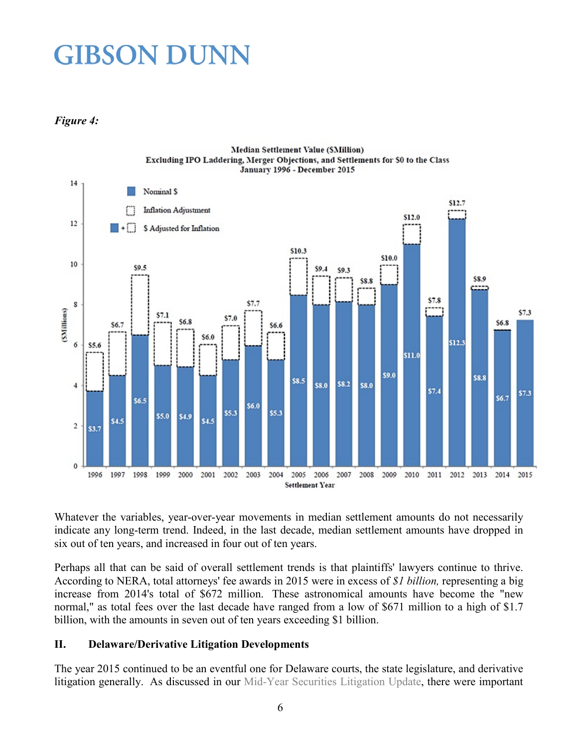#### *Figure 4:*



Whatever the variables, year-over-year movements in median settlement amounts do not necessarily indicate any long-term trend. Indeed, in the last decade, median settlement amounts have dropped in six out of ten years, and increased in four out of ten years.

Perhaps all that can be said of overall settlement trends is that plaintiffs' lawyers continue to thrive. According to NERA, total attorneys' fee awards in 2015 were in excess of *\$1 billion,* representing a big increase from 2014's total of \$672 million. These astronomical amounts have become the "new normal," as total fees over the last decade have ranged from a low of \$671 million to a high of \$1.7 billion, with the amounts in seven out of ten years exceeding \$1 billion.

#### **II. Delaware/Derivative Litigation Developments**

The year 2015 continued to be an eventful one for Delaware courts, the state legislature, and derivative litigation generally. As discussed in our [Mid-Year Securities Litigation Update,](http://www.gibsondunn.com/publications/Documents/2015-Mid-Year-Securities-Litigation-Update.pdf) there were important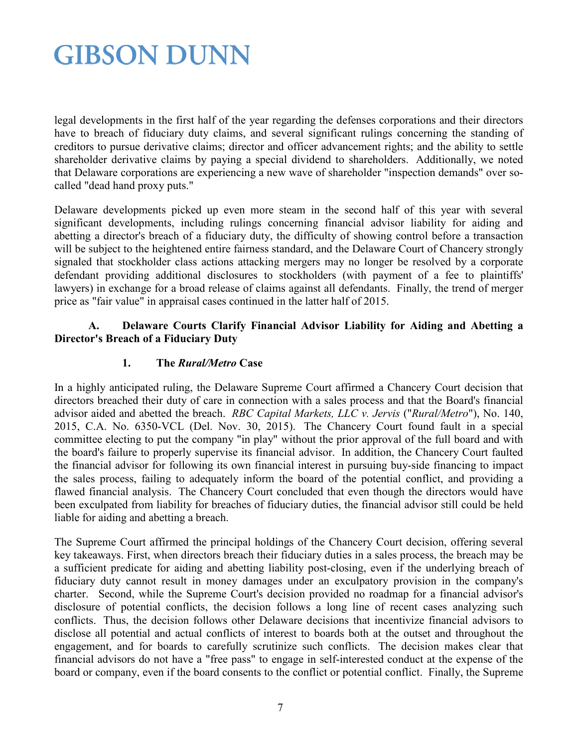legal developments in the first half of the year regarding the defenses corporations and their directors have to breach of fiduciary duty claims, and several significant rulings concerning the standing of creditors to pursue derivative claims; director and officer advancement rights; and the ability to settle shareholder derivative claims by paying a special dividend to shareholders. Additionally, we noted that Delaware corporations are experiencing a new wave of shareholder "inspection demands" over socalled "dead hand proxy puts."

Delaware developments picked up even more steam in the second half of this year with several significant developments, including rulings concerning financial advisor liability for aiding and abetting a director's breach of a fiduciary duty, the difficulty of showing control before a transaction will be subject to the heightened entire fairness standard, and the Delaware Court of Chancery strongly signaled that stockholder class actions attacking mergers may no longer be resolved by a corporate defendant providing additional disclosures to stockholders (with payment of a fee to plaintiffs' lawyers) in exchange for a broad release of claims against all defendants. Finally, the trend of merger price as "fair value" in appraisal cases continued in the latter half of 2015.

#### **A. Delaware Courts Clarify Financial Advisor Liability for Aiding and Abetting a Director's Breach of a Fiduciary Duty**

#### **1. The** *Rural/Metro* **Case**

In a highly anticipated ruling, the Delaware Supreme Court affirmed a Chancery Court decision that directors breached their duty of care in connection with a sales process and that the Board's financial advisor aided and abetted the breach. *RBC Capital Markets, LLC v. Jervis* ("*Rural/Metro*"), No. 140, 2015, C.A. No. 6350-VCL (Del. Nov. 30, 2015). The Chancery Court found fault in a special committee electing to put the company "in play" without the prior approval of the full board and with the board's failure to properly supervise its financial advisor. In addition, the Chancery Court faulted the financial advisor for following its own financial interest in pursuing buy-side financing to impact the sales process, failing to adequately inform the board of the potential conflict, and providing a flawed financial analysis. The Chancery Court concluded that even though the directors would have been exculpated from liability for breaches of fiduciary duties, the financial advisor still could be held liable for aiding and abetting a breach.

The Supreme Court affirmed the principal holdings of the Chancery Court decision, offering several key takeaways. First, when directors breach their fiduciary duties in a sales process, the breach may be a sufficient predicate for aiding and abetting liability post-closing, even if the underlying breach of fiduciary duty cannot result in money damages under an exculpatory provision in the company's charter. Second, while the Supreme Court's decision provided no roadmap for a financial advisor's disclosure of potential conflicts, the decision follows a long line of recent cases analyzing such conflicts. Thus, the decision follows other Delaware decisions that incentivize financial advisors to disclose all potential and actual conflicts of interest to boards both at the outset and throughout the engagement, and for boards to carefully scrutinize such conflicts. The decision makes clear that financial advisors do not have a "free pass" to engage in self-interested conduct at the expense of the board or company, even if the board consents to the conflict or potential conflict. Finally, the Supreme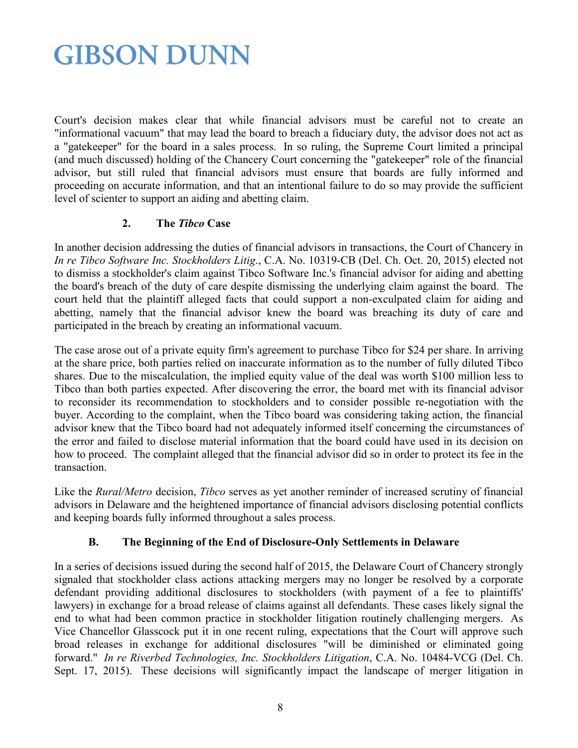Court's decision makes clear that while financial advisors must be careful not to create an "informational vacuum" that may lead the board to breach a fiduciary duty, the advisor does not act as a "gatekeeper" for the board in a sales process. In so ruling, the Supreme Court limited a principal (and much discussed) holding of the Chancery Court concerning the "gatekeeper" role of the financial advisor, but still ruled that financial advisors must ensure that boards are fully informed and proceeding on accurate information, and that an intentional failure to do so may provide the sufficient level of scienter to support an aiding and abetting claim.

#### **2. The** *Tibco* **Case**

In another decision addressing the duties of financial advisors in transactions, the Court of Chancery in *In re Tibco Software Inc. Stockholders Litig*., C.A. No. 10319-CB (Del. Ch. Oct. 20, 2015) elected not to dismiss a stockholder's claim against Tibco Software Inc.'s financial advisor for aiding and abetting the board's breach of the duty of care despite dismissing the underlying claim against the board. The court held that the plaintiff alleged facts that could support a non-exculpated claim for aiding and abetting, namely that the financial advisor knew the board was breaching its duty of care and participated in the breach by creating an informational vacuum.

The case arose out of a private equity firm's agreement to purchase Tibco for \$24 per share. In arriving at the share price, both parties relied on inaccurate information as to the number of fully diluted Tibco shares. Due to the miscalculation, the implied equity value of the deal was worth \$100 million less to Tibco than both parties expected. After discovering the error, the board met with its financial advisor to reconsider its recommendation to stockholders and to consider possible re-negotiation with the buyer. According to the complaint, when the Tibco board was considering taking action, the financial advisor knew that the Tibco board had not adequately informed itself concerning the circumstances of the error and failed to disclose material information that the board could have used in its decision on how to proceed. The complaint alleged that the financial advisor did so in order to protect its fee in the transaction.

Like the *Rural/Metro* decision, *Tibco* serves as yet another reminder of increased scrutiny of financial advisors in Delaware and the heightened importance of financial advisors disclosing potential conflicts and keeping boards fully informed throughout a sales process.

#### **B. The Beginning of the End of Disclosure-Only Settlements in Delaware**

In a series of decisions issued during the second half of 2015, the Delaware Court of Chancery strongly signaled that stockholder class actions attacking mergers may no longer be resolved by a corporate defendant providing additional disclosures to stockholders (with payment of a fee to plaintiffs' lawyers) in exchange for a broad release of claims against all defendants. These cases likely signal the end to what had been common practice in stockholder litigation routinely challenging mergers. As Vice Chancellor Glasscock put it in one recent ruling, expectations that the Court will approve such broad releases in exchange for additional disclosures "will be diminished or eliminated going forward." *In re Riverbed Technologies, Inc. Stockholders Litigation*, C.A. No. 10484-VCG (Del. Ch. Sept. 17, 2015). These decisions will significantly impact the landscape of merger litigation in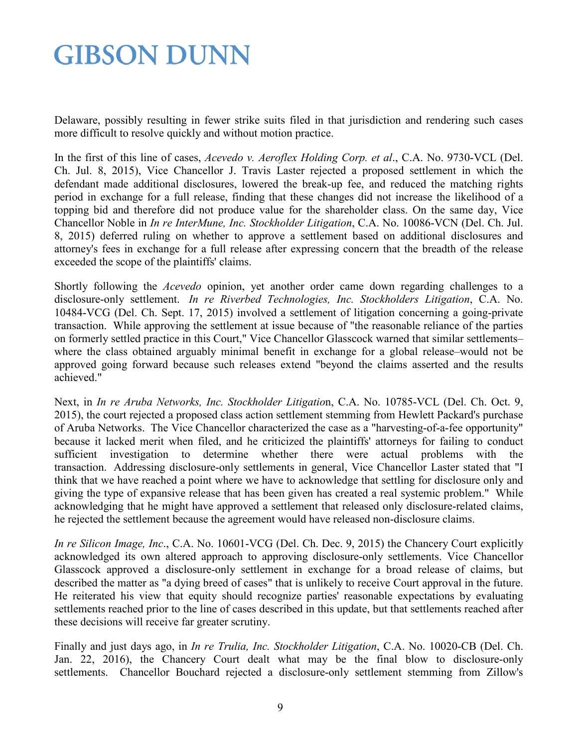Delaware, possibly resulting in fewer strike suits filed in that jurisdiction and rendering such cases more difficult to resolve quickly and without motion practice.

In the first of this line of cases, *Acevedo v. Aeroflex Holding Corp. et al*., C.A. No. 9730-VCL (Del. Ch. Jul. 8, 2015), Vice Chancellor J. Travis Laster rejected a proposed settlement in which the defendant made additional disclosures, lowered the break-up fee, and reduced the matching rights period in exchange for a full release, finding that these changes did not increase the likelihood of a topping bid and therefore did not produce value for the shareholder class. On the same day, Vice Chancellor Noble in *In re InterMune, Inc. Stockholder Litigation*, C.A. No. 10086-VCN (Del. Ch. Jul. 8, 2015) deferred ruling on whether to approve a settlement based on additional disclosures and attorney's fees in exchange for a full release after expressing concern that the breadth of the release exceeded the scope of the plaintiffs' claims.

Shortly following the *Acevedo* opinion, yet another order came down regarding challenges to a disclosure-only settlement. *In re Riverbed Technologies, Inc. Stockholders Litigation*, C.A. No. 10484-VCG (Del. Ch. Sept. 17, 2015) involved a settlement of litigation concerning a going-private transaction. While approving the settlement at issue because of "the reasonable reliance of the parties on formerly settled practice in this Court," Vice Chancellor Glasscock warned that similar settlements– where the class obtained arguably minimal benefit in exchange for a global release–would not be approved going forward because such releases extend "beyond the claims asserted and the results achieved."

Next, in *In re Aruba Networks, Inc. Stockholder Litigatio*n, C.A. No. 10785-VCL (Del. Ch. Oct. 9, 2015), the court rejected a proposed class action settlement stemming from Hewlett Packard's purchase of Aruba Networks. The Vice Chancellor characterized the case as a "harvesting-of-a-fee opportunity" because it lacked merit when filed, and he criticized the plaintiffs' attorneys for failing to conduct sufficient investigation to determine whether there were actual problems with the transaction. Addressing disclosure-only settlements in general, Vice Chancellor Laster stated that "I think that we have reached a point where we have to acknowledge that settling for disclosure only and giving the type of expansive release that has been given has created a real systemic problem." While acknowledging that he might have approved a settlement that released only disclosure-related claims, he rejected the settlement because the agreement would have released non-disclosure claims.

*In re Silicon Image, Inc*., C.A. No. 10601-VCG (Del. Ch. Dec. 9, 2015) the Chancery Court explicitly acknowledged its own altered approach to approving disclosure-only settlements. Vice Chancellor Glasscock approved a disclosure-only settlement in exchange for a broad release of claims, but described the matter as "a dying breed of cases" that is unlikely to receive Court approval in the future. He reiterated his view that equity should recognize parties' reasonable expectations by evaluating settlements reached prior to the line of cases described in this update, but that settlements reached after these decisions will receive far greater scrutiny.

Finally and just days ago, in *In re Trulia, Inc. Stockholder Litigation*, C.A. No. 10020-CB (Del. Ch. Jan. 22, 2016), the Chancery Court dealt what may be the final blow to disclosure-only settlements. Chancellor Bouchard rejected a disclosure-only settlement stemming from Zillow's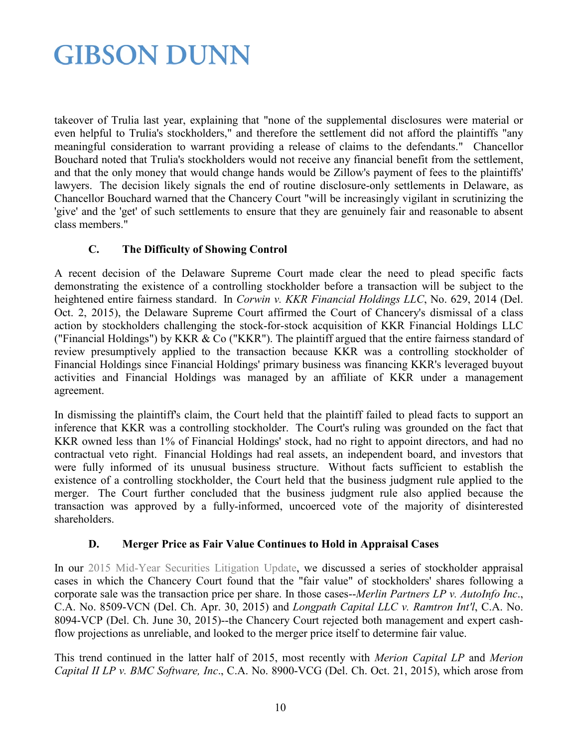takeover of Trulia last year, explaining that "none of the supplemental disclosures were material or even helpful to Trulia's stockholders," and therefore the settlement did not afford the plaintiffs "any meaningful consideration to warrant providing a release of claims to the defendants." Chancellor Bouchard noted that Trulia's stockholders would not receive any financial benefit from the settlement, and that the only money that would change hands would be Zillow's payment of fees to the plaintiffs' lawyers. The decision likely signals the end of routine disclosure-only settlements in Delaware, as Chancellor Bouchard warned that the Chancery Court "will be increasingly vigilant in scrutinizing the 'give' and the 'get' of such settlements to ensure that they are genuinely fair and reasonable to absent class members."

#### **C. The Difficulty of Showing Control**

A recent decision of the Delaware Supreme Court made clear the need to plead specific facts demonstrating the existence of a controlling stockholder before a transaction will be subject to the heightened entire fairness standard. In *Corwin v. KKR Financial Holdings LLC*, No. 629, 2014 (Del. Oct. 2, 2015), the Delaware Supreme Court affirmed the Court of Chancery's dismissal of a class action by stockholders challenging the stock-for-stock acquisition of KKR Financial Holdings LLC ("Financial Holdings") by KKR & Co ("KKR"). The plaintiff argued that the entire fairness standard of review presumptively applied to the transaction because KKR was a controlling stockholder of Financial Holdings since Financial Holdings' primary business was financing KKR's leveraged buyout activities and Financial Holdings was managed by an affiliate of KKR under a management agreement.

In dismissing the plaintiff's claim, the Court held that the plaintiff failed to plead facts to support an inference that KKR was a controlling stockholder. The Court's ruling was grounded on the fact that KKR owned less than 1% of Financial Holdings' stock, had no right to appoint directors, and had no contractual veto right. Financial Holdings had real assets, an independent board, and investors that were fully informed of its unusual business structure. Without facts sufficient to establish the existence of a controlling stockholder, the Court held that the business judgment rule applied to the merger. The Court further concluded that the business judgment rule also applied because the transaction was approved by a fully-informed, uncoerced vote of the majority of disinterested shareholders.

#### **D. Merger Price as Fair Value Continues to Hold in Appraisal Cases**

In our [2015 Mid-Year Securities Litigation Update,](http://www.gibsondunn.com/publications/Documents/2015-Mid-Year-Securities-Litigation-Update.pdf) we discussed a series of stockholder appraisal cases in which the Chancery Court found that the "fair value" of stockholders' shares following a corporate sale was the transaction price per share. In those cases--*Merlin Partners LP v. AutoInfo Inc*., C.A. No. 8509-VCN (Del. Ch. Apr. 30, 2015) and *Longpath Capital LLC v. Ramtron Int'l*, C.A. No. 8094-VCP (Del. Ch. June 30, 2015)--the Chancery Court rejected both management and expert cashflow projections as unreliable, and looked to the merger price itself to determine fair value.

This trend continued in the latter half of 2015, most recently with *Merion Capital LP* and *Merion Capital II LP v. BMC Software, Inc*., C.A. No. 8900-VCG (Del. Ch. Oct. 21, 2015), which arose from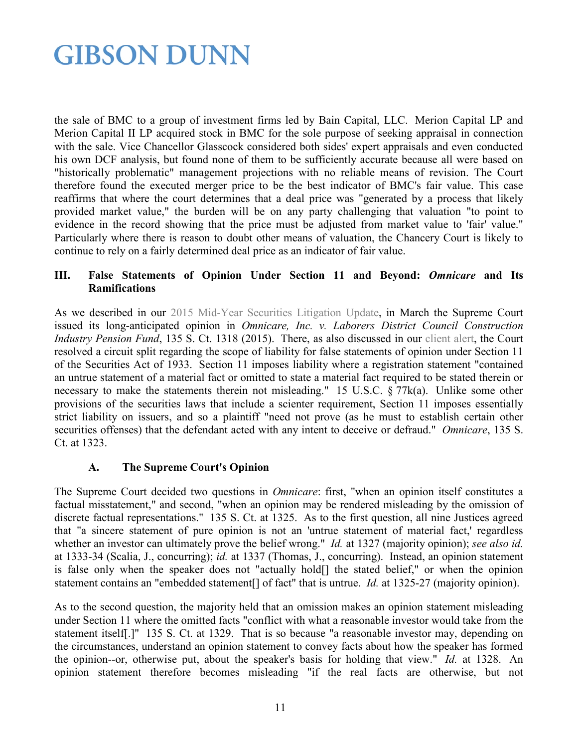the sale of BMC to a group of investment firms led by Bain Capital, LLC. Merion Capital LP and Merion Capital II LP acquired stock in BMC for the sole purpose of seeking appraisal in connection with the sale. Vice Chancellor Glasscock considered both sides' expert appraisals and even conducted his own DCF analysis, but found none of them to be sufficiently accurate because all were based on "historically problematic" management projections with no reliable means of revision. The Court therefore found the executed merger price to be the best indicator of BMC's fair value. This case reaffirms that where the court determines that a deal price was "generated by a process that likely provided market value," the burden will be on any party challenging that valuation "to point to evidence in the record showing that the price must be adjusted from market value to 'fair' value." Particularly where there is reason to doubt other means of valuation, the Chancery Court is likely to continue to rely on a fairly determined deal price as an indicator of fair value.

#### **III. False Statements of Opinion Under Section 11 and Beyond:** *Omnicare* **and Its Ramifications**

As we described in our [2015 Mid-Year Securities Litigation Update,](http://www.gibsondunn.com/publications/Documents/2015-Mid-Year-Securities-Litigation-Update.pdf) in March the Supreme Court issued its long-anticipated opinion in *Omnicare, Inc. v. Laborers District Council Construction Industry Pension Fund*, 135 S. Ct. 1318 (2015). There, as also discussed in our [client alert,](http://www.gibsondunn.com/publications/Pages/US-Supreme-Court-Issues-Long-Awaited-Decision-in-Omnicare-Resolving-Circuit-Split--Opinion-Statement-Liability.aspx) the Court resolved a circuit split regarding the scope of liability for false statements of opinion under Section 11 of the Securities Act of 1933. Section 11 imposes liability where a registration statement "contained an untrue statement of a material fact or omitted to state a material fact required to be stated therein or necessary to make the statements therein not misleading." 15 U.S.C. § 77k(a). Unlike some other provisions of the securities laws that include a scienter requirement, Section 11 imposes essentially strict liability on issuers, and so a plaintiff "need not prove (as he must to establish certain other securities offenses) that the defendant acted with any intent to deceive or defraud." *Omnicare*, 135 S. Ct. at 1323.

#### **A. The Supreme Court's Opinion**

The Supreme Court decided two questions in *Omnicare*: first, "when an opinion itself constitutes a factual misstatement," and second, "when an opinion may be rendered misleading by the omission of discrete factual representations." 135 S. Ct. at 1325. As to the first question, all nine Justices agreed that "a sincere statement of pure opinion is not an 'untrue statement of material fact,' regardless whether an investor can ultimately prove the belief wrong." *Id.* at 1327 (majority opinion); *see also id.* at 1333-34 (Scalia, J., concurring); *id.* at 1337 (Thomas, J., concurring). Instead, an opinion statement is false only when the speaker does not "actually hold[] the stated belief," or when the opinion statement contains an "embedded statement[] of fact" that is untrue. *Id.* at 1325-27 (majority opinion).

As to the second question, the majority held that an omission makes an opinion statement misleading under Section 11 where the omitted facts "conflict with what a reasonable investor would take from the statement itself[.]" 135 S. Ct. at 1329. That is so because "a reasonable investor may, depending on the circumstances, understand an opinion statement to convey facts about how the speaker has formed the opinion--or, otherwise put, about the speaker's basis for holding that view." *Id.* at 1328. An opinion statement therefore becomes misleading "if the real facts are otherwise, but not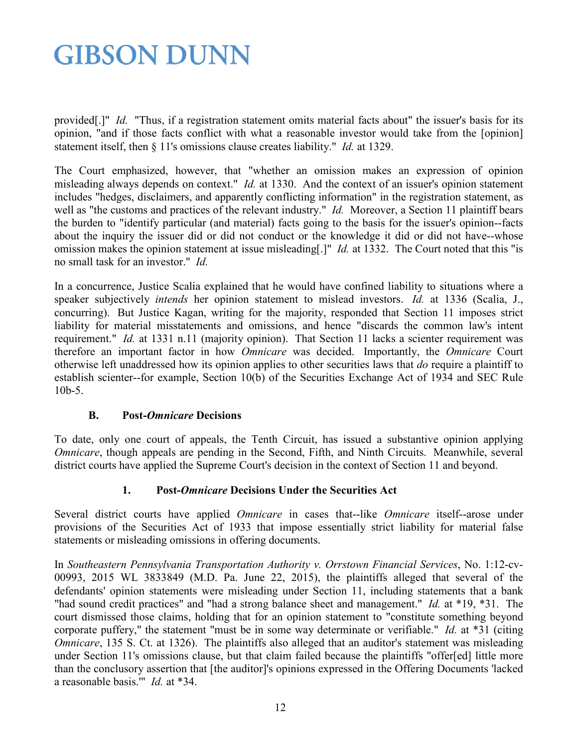provided[.]" *Id.* "Thus, if a registration statement omits material facts about" the issuer's basis for its opinion, "and if those facts conflict with what a reasonable investor would take from the [opinion] statement itself, then § 11's omissions clause creates liability." *Id.* at 1329.

The Court emphasized, however, that "whether an omission makes an expression of opinion misleading always depends on context." *Id.* at 1330. And the context of an issuer's opinion statement includes "hedges, disclaimers, and apparently conflicting information" in the registration statement, as well as "the customs and practices of the relevant industry." *Id.* Moreover, a Section 11 plaintiff bears the burden to "identify particular (and material) facts going to the basis for the issuer's opinion--facts about the inquiry the issuer did or did not conduct or the knowledge it did or did not have--whose omission makes the opinion statement at issue misleading[.]" *Id.* at 1332. The Court noted that this "is no small task for an investor." *Id.*

In a concurrence, Justice Scalia explained that he would have confined liability to situations where a speaker subjectively *intends* her opinion statement to mislead investors. *Id.* at 1336 (Scalia, J., concurring). But Justice Kagan, writing for the majority, responded that Section 11 imposes strict liability for material misstatements and omissions, and hence "discards the common law's intent requirement." *Id.* at 1331 n.11 (majority opinion). That Section 11 lacks a scienter requirement was therefore an important factor in how *Omnicare* was decided. Importantly, the *Omnicare* Court otherwise left unaddressed how its opinion applies to other securities laws that *do* require a plaintiff to establish scienter--for example, Section 10(b) of the Securities Exchange Act of 1934 and SEC Rule 10b-5.

#### **B. Post-***Omnicare* **Decisions**

To date, only one court of appeals, the Tenth Circuit, has issued a substantive opinion applying *Omnicare*, though appeals are pending in the Second, Fifth, and Ninth Circuits. Meanwhile, several district courts have applied the Supreme Court's decision in the context of Section 11 and beyond.

#### **1. Post-***Omnicare* **Decisions Under the Securities Act**

Several district courts have applied *Omnicare* in cases that--like *Omnicare* itself--arose under provisions of the Securities Act of 1933 that impose essentially strict liability for material false statements or misleading omissions in offering documents.

In *Southeastern Pennsylvania Transportation Authority v. Orrstown Financial Services*, No. 1:12-cv-00993, 2015 WL 3833849 (M.D. Pa. June 22, 2015), the plaintiffs alleged that several of the defendants' opinion statements were misleading under Section 11, including statements that a bank "had sound credit practices" and "had a strong balance sheet and management." *Id.* at \*19, \*31. The court dismissed those claims, holding that for an opinion statement to "constitute something beyond corporate puffery," the statement "must be in some way determinate or verifiable." *Id.* at \*31 (citing *Omnicare*, 135 S. Ct. at 1326). The plaintiffs also alleged that an auditor's statement was misleading under Section 11's omissions clause, but that claim failed because the plaintiffs "offer[ed] little more than the conclusory assertion that [the auditor]'s opinions expressed in the Offering Documents 'lacked a reasonable basis.'" *Id.* at \*34.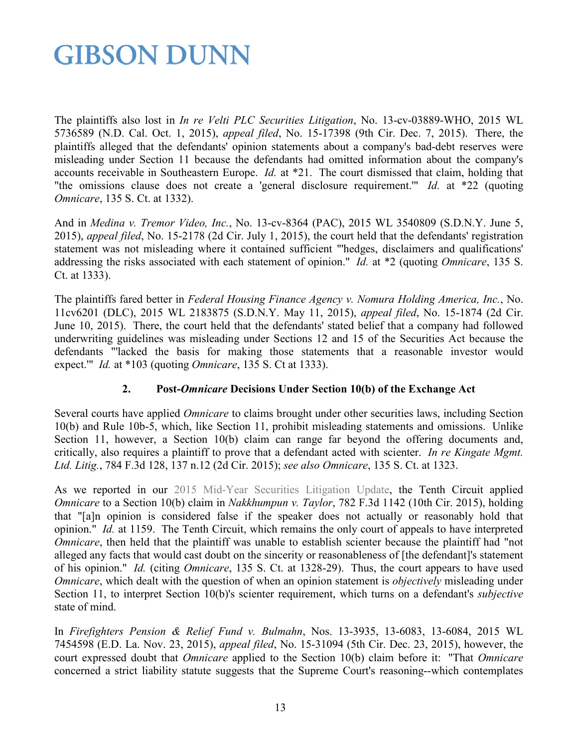The plaintiffs also lost in *In re Velti PLC Securities Litigation*, No. 13-cv-03889-WHO, 2015 WL 5736589 (N.D. Cal. Oct. 1, 2015), *appeal filed*, No. 15-17398 (9th Cir. Dec. 7, 2015). There, the plaintiffs alleged that the defendants' opinion statements about a company's bad-debt reserves were misleading under Section 11 because the defendants had omitted information about the company's accounts receivable in Southeastern Europe. *Id.* at \*21. The court dismissed that claim, holding that "the omissions clause does not create a 'general disclosure requirement.'" *Id.* at \*22 (quoting *Omnicare*, 135 S. Ct. at 1332).

And in *Medina v. Tremor Video, Inc.*, No. 13-cv-8364 (PAC), 2015 WL 3540809 (S.D.N.Y. June 5, 2015), *appeal filed*, No. 15-2178 (2d Cir. July 1, 2015), the court held that the defendants' registration statement was not misleading where it contained sufficient "'hedges, disclaimers and qualifications' addressing the risks associated with each statement of opinion." *Id.* at \*2 (quoting *Omnicare*, 135 S. Ct. at 1333).

The plaintiffs fared better in *Federal Housing Finance Agency v. Nomura Holding America, Inc.*, No. 11cv6201 (DLC), 2015 WL 2183875 (S.D.N.Y. May 11, 2015), *appeal filed*, No. 15-1874 (2d Cir. June 10, 2015). There, the court held that the defendants' stated belief that a company had followed underwriting guidelines was misleading under Sections 12 and 15 of the Securities Act because the defendants "'lacked the basis for making those statements that a reasonable investor would expect.'" *Id.* at \*103 (quoting *Omnicare*, 135 S. Ct at 1333).

#### **2. Post-***Omnicare* **Decisions Under Section 10(b) of the Exchange Act**

Several courts have applied *Omnicare* to claims brought under other securities laws, including Section 10(b) and Rule 10b-5, which, like Section 11, prohibit misleading statements and omissions. Unlike Section 11, however, a Section 10(b) claim can range far beyond the offering documents and, critically, also requires a plaintiff to prove that a defendant acted with scienter. *In re Kingate Mgmt. Ltd. Litig.*, 784 F.3d 128, 137 n.12 (2d Cir. 2015); *see also Omnicare*, 135 S. Ct. at 1323.

As we reported in our [2015 Mid-Year Securities Litigation Update,](http://www.gibsondunn.com/publications/Documents/2015-Mid-Year-Securities-Litigation-Update.pdf) the Tenth Circuit applied *Omnicare* to a Section 10(b) claim in *Nakkhumpun v. Taylor*, 782 F.3d 1142 (10th Cir. 2015), holding that "[a]n opinion is considered false if the speaker does not actually or reasonably hold that opinion." *Id.* at 1159. The Tenth Circuit, which remains the only court of appeals to have interpreted *Omnicare*, then held that the plaintiff was unable to establish scienter because the plaintiff had "not alleged any facts that would cast doubt on the sincerity or reasonableness of [the defendant]'s statement of his opinion." *Id.* (citing *Omnicare*, 135 S. Ct. at 1328-29). Thus, the court appears to have used *Omnicare*, which dealt with the question of when an opinion statement is *objectively* misleading under Section 11, to interpret Section 10(b)'s scienter requirement, which turns on a defendant's *subjective* state of mind.

In *Firefighters Pension & Relief Fund v. Bulmahn*, Nos. 13-3935, 13-6083, 13-6084, 2015 WL 7454598 (E.D. La. Nov. 23, 2015), *appeal filed*, No. 15-31094 (5th Cir. Dec. 23, 2015), however, the court expressed doubt that *Omnicare* applied to the Section 10(b) claim before it: "That *Omnicare* concerned a strict liability statute suggests that the Supreme Court's reasoning--which contemplates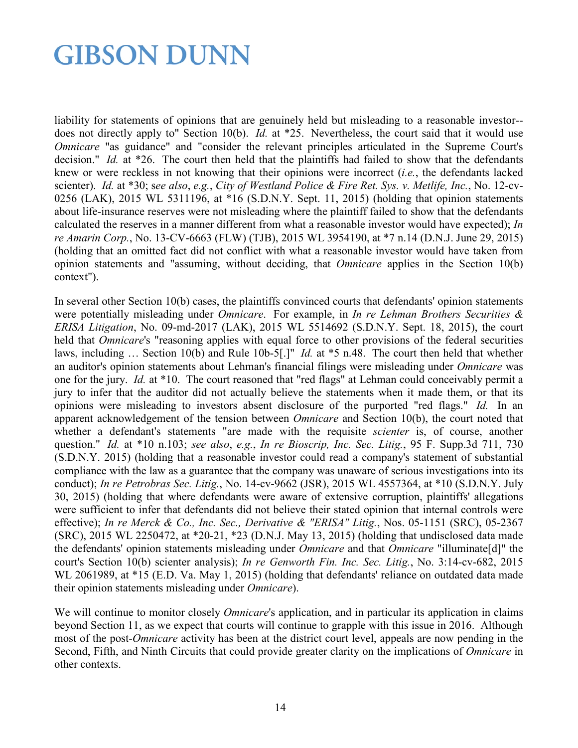liability for statements of opinions that are genuinely held but misleading to a reasonable investor- does not directly apply to" Section 10(b). *Id.* at \*25. Nevertheless, the court said that it would use *Omnicare* "as guidance" and "consider the relevant principles articulated in the Supreme Court's decision." *Id.* at \*26. The court then held that the plaintiffs had failed to show that the defendants knew or were reckless in not knowing that their opinions were incorrect (*i.e.*, the defendants lacked scienter). *Id.* at \*30; s*ee also*, *e.g.*, *City of Westland Police & Fire Ret. Sys. v. Metlife, Inc.*, No. 12-cv-0256 (LAK), 2015 WL 5311196, at \*16 (S.D.N.Y. Sept. 11, 2015) (holding that opinion statements about life-insurance reserves were not misleading where the plaintiff failed to show that the defendants calculated the reserves in a manner different from what a reasonable investor would have expected); *In re Amarin Corp.*, No. 13-CV-6663 (FLW) (TJB), 2015 WL 3954190, at \*7 n.14 (D.N.J. June 29, 2015) (holding that an omitted fact did not conflict with what a reasonable investor would have taken from opinion statements and "assuming, without deciding, that *Omnicare* applies in the Section 10(b) context").

In several other Section 10(b) cases, the plaintiffs convinced courts that defendants' opinion statements were potentially misleading under *Omnicare*. For example, in *In re Lehman Brothers Securities & ERISA Litigation*, No. 09-md-2017 (LAK), 2015 WL 5514692 (S.D.N.Y. Sept. 18, 2015), the court held that *Omnicare*'s "reasoning applies with equal force to other provisions of the federal securities laws, including … Section 10(b) and Rule 10b-5[.]" *Id.* at \*5 n.48. The court then held that whether an auditor's opinion statements about Lehman's financial filings were misleading under *Omnicare* was one for the jury. *Id.* at \*10. The court reasoned that "red flags" at Lehman could conceivably permit a jury to infer that the auditor did not actually believe the statements when it made them, or that its opinions were misleading to investors absent disclosure of the purported "red flags." *Id.* In an apparent acknowledgement of the tension between *Omnicare* and Section 10(b), the court noted that whether a defendant's statements "are made with the requisite *scienter* is, of course, another question." *Id.* at \*10 n.103; *see also*, *e.g.*, *In re Bioscrip, Inc. Sec. Litig.*, 95 F. Supp.3d 711, 730 (S.D.N.Y. 2015) (holding that a reasonable investor could read a company's statement of substantial compliance with the law as a guarantee that the company was unaware of serious investigations into its conduct); *In re Petrobras Sec. Litig.*, No. 14-cv-9662 (JSR), 2015 WL 4557364, at \*10 (S.D.N.Y. July 30, 2015) (holding that where defendants were aware of extensive corruption, plaintiffs' allegations were sufficient to infer that defendants did not believe their stated opinion that internal controls were effective); *In re Merck & Co., Inc. Sec., Derivative & "ERISA" Litig.*, Nos. 05-1151 (SRC), 05-2367 (SRC), 2015 WL 2250472, at \*20-21, \*23 (D.N.J. May 13, 2015) (holding that undisclosed data made the defendants' opinion statements misleading under *Omnicare* and that *Omnicare* "illuminate[d]" the court's Section 10(b) scienter analysis); *In re Genworth Fin. Inc. Sec. Litig.*, No. 3:14-cv-682, 2015 WL 2061989, at \*15 (E.D. Va. May 1, 2015) (holding that defendants' reliance on outdated data made their opinion statements misleading under *Omnicare*).

We will continue to monitor closely *Omnicare*'s application, and in particular its application in claims beyond Section 11, as we expect that courts will continue to grapple with this issue in 2016. Although most of the post-*Omnicare* activity has been at the district court level, appeals are now pending in the Second, Fifth, and Ninth Circuits that could provide greater clarity on the implications of *Omnicare* in other contexts.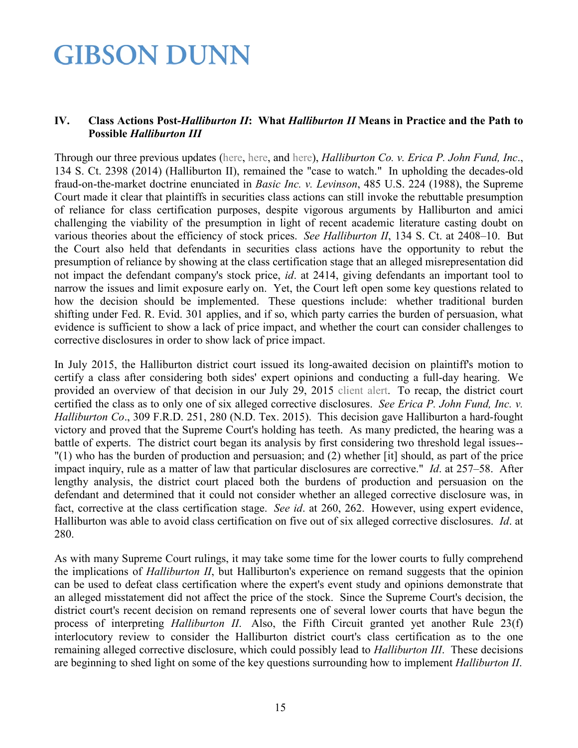#### **IV. Class Actions Post-***Halliburton II***: What** *Halliburton II* **Means in Practice and the Path to Possible** *Halliburton III*

Through our three previous updates [\(here,](http://www.gibsondunn.com/publications/Documents/2015-Mid-Year-Securities-Litigation-Update.pdf) [here,](http://www.gibsondunn.com/publications/pages/2014-Year-End-Securities-Litigation-Update.aspx) and [here\)](http://www.gibsondunn.com/publications/pages/2014-Mid-Year-Securities-Litigation-Update.aspx), *Halliburton Co. v. Erica P. John Fund, Inc*., 134 S. Ct. 2398 (2014) (Halliburton II), remained the "case to watch." In upholding the decades-old fraud-on-the-market doctrine enunciated in *Basic Inc. v. Levinson*, 485 U.S. 224 (1988), the Supreme Court made it clear that plaintiffs in securities class actions can still invoke the rebuttable presumption of reliance for class certification purposes, despite vigorous arguments by Halliburton and amici challenging the viability of the presumption in light of recent academic literature casting doubt on various theories about the efficiency of stock prices. *See Halliburton II*, 134 S. Ct. at 2408–10. But the Court also held that defendants in securities class actions have the opportunity to rebut the presumption of reliance by showing at the class certification stage that an alleged misrepresentation did not impact the defendant company's stock price, *id*. at 2414, giving defendants an important tool to narrow the issues and limit exposure early on. Yet, the Court left open some key questions related to how the decision should be implemented. These questions include: whether traditional burden shifting under Fed. R. Evid. 301 applies, and if so, which party carries the burden of persuasion, what evidence is sufficient to show a lack of price impact, and whether the court can consider challenges to corrective disclosures in order to show lack of price impact.

In July 2015, the Halliburton district court issued its long-awaited decision on plaintiff's motion to certify a class after considering both sides' expert opinions and conducting a full-day hearing. We provided an overview of that decision in our July 29, 2015 [client alert.](http://www.gibsondunn.com/publications/pages/Northern-District-of-Texas-Weighs-in-on-Price-Impact-Test--Class-Certification-Post-Halliburton-II.aspx) To recap, the district court certified the class as to only one of six alleged corrective disclosures. *See Erica P. John Fund, Inc. v. Halliburton Co*., 309 F.R.D. 251, 280 (N.D. Tex. 2015). This decision gave Halliburton a hard-fought victory and proved that the Supreme Court's holding has teeth. As many predicted, the hearing was a battle of experts. The district court began its analysis by first considering two threshold legal issues-- "(1) who has the burden of production and persuasion; and (2) whether [it] should, as part of the price impact inquiry, rule as a matter of law that particular disclosures are corrective." *Id*. at 257–58. After lengthy analysis, the district court placed both the burdens of production and persuasion on the defendant and determined that it could not consider whether an alleged corrective disclosure was, in fact, corrective at the class certification stage. *See id*. at 260, 262. However, using expert evidence, Halliburton was able to avoid class certification on five out of six alleged corrective disclosures. *Id*. at 280.

As with many Supreme Court rulings, it may take some time for the lower courts to fully comprehend the implications of *Halliburton II*, but Halliburton's experience on remand suggests that the opinion can be used to defeat class certification where the expert's event study and opinions demonstrate that an alleged misstatement did not affect the price of the stock. Since the Supreme Court's decision, the district court's recent decision on remand represents one of several lower courts that have begun the process of interpreting *Halliburton II*. Also, the Fifth Circuit granted yet another Rule 23(f) interlocutory review to consider the Halliburton district court's class certification as to the one remaining alleged corrective disclosure, which could possibly lead to *Halliburton III*. These decisions are beginning to shed light on some of the key questions surrounding how to implement *Halliburton II*.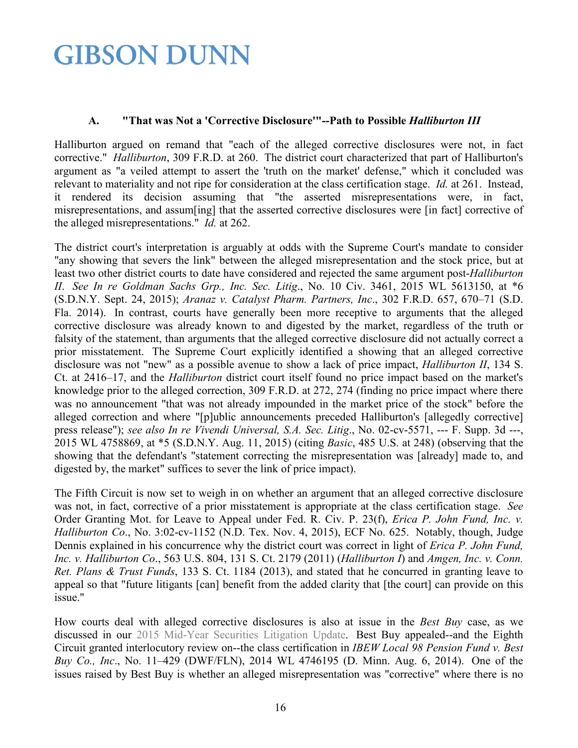#### **A. "That was Not a 'Corrective Disclosure'"--Path to Possible** *Halliburton III*

Halliburton argued on remand that "each of the alleged corrective disclosures were not, in fact corrective." *Halliburton*, 309 F.R.D. at 260. The district court characterized that part of Halliburton's argument as "a veiled attempt to assert the 'truth on the market' defense," which it concluded was relevant to materiality and not ripe for consideration at the class certification stage. *Id.* at 261. Instead, it rendered its decision assuming that "the asserted misrepresentations were, in fact, misrepresentations, and assum[ing] that the asserted corrective disclosures were [in fact] corrective of the alleged misrepresentations." *Id.* at 262.

The district court's interpretation is arguably at odds with the Supreme Court's mandate to consider "any showing that severs the link" between the alleged misrepresentation and the stock price, but at least two other district courts to date have considered and rejected the same argument post-*Halliburton II*. *See In re Goldman Sachs Grp., Inc. Sec. Litig*., No. 10 Civ. 3461, 2015 WL 5613150, at \*6 (S.D.N.Y. Sept. 24, 2015); *Aranaz v. Catalyst Pharm. Partners, Inc*., 302 F.R.D. 657, 670–71 (S.D. Fla. 2014). In contrast, courts have generally been more receptive to arguments that the alleged corrective disclosure was already known to and digested by the market, regardless of the truth or falsity of the statement, than arguments that the alleged corrective disclosure did not actually correct a prior misstatement. The Supreme Court explicitly identified a showing that an alleged corrective disclosure was not "new" as a possible avenue to show a lack of price impact, *Halliburton II*, 134 S. Ct. at 2416–17, and the *Halliburton* district court itself found no price impact based on the market's knowledge prior to the alleged correction, 309 F.R.D. at 272, 274 (finding no price impact where there was no announcement "that was not already impounded in the market price of the stock" before the alleged correction and where "[p]ublic announcements preceded Halliburton's [allegedly corrective] press release"); *see also In re Vivendi Universal, S.A. Sec. Litig*., No. 02-cv-5571, --- F. Supp. 3d ---, 2015 WL 4758869, at \*5 (S.D.N.Y. Aug. 11, 2015) (citing *Basic*, 485 U.S. at 248) (observing that the showing that the defendant's "statement correcting the misrepresentation was [already] made to, and digested by, the market" suffices to sever the link of price impact).

The Fifth Circuit is now set to weigh in on whether an argument that an alleged corrective disclosure was not, in fact, corrective of a prior misstatement is appropriate at the class certification stage. *See* Order Granting Mot. for Leave to Appeal under Fed. R. Civ. P. 23(f), *Erica P. John Fund, Inc. v. Halliburton Co*., No. 3:02-cv-1152 (N.D. Tex. Nov. 4, 2015), ECF No. 625. Notably, though, Judge Dennis explained in his concurrence why the district court was correct in light of *Erica P. John Fund, Inc. v. Halliburton Co*., 563 U.S. 804, 131 S. Ct. 2179 (2011) (*Halliburton I*) and *Amgen, Inc. v. Conn. Ret. Plans & Trust Funds*, 133 S. Ct. 1184 (2013), and stated that he concurred in granting leave to appeal so that "future litigants [can] benefit from the added clarity that [the court] can provide on this issue."

How courts deal with alleged corrective disclosures is also at issue in the *Best Buy* case, as we discussed in our [2015 Mid-Year Securities Litigation Update.](http://www.gibsondunn.com/publications/Documents/2015-Mid-Year-Securities-Litigation-Update.pdf) Best Buy appealed--and the Eighth Circuit granted interlocutory review on--the class certification in *IBEW Local 98 Pension Fund v. Best Buy Co., Inc*., No. 11–429 (DWF/FLN), 2014 WL 4746195 (D. Minn. Aug. 6, 2014). One of the issues raised by Best Buy is whether an alleged misrepresentation was "corrective" where there is no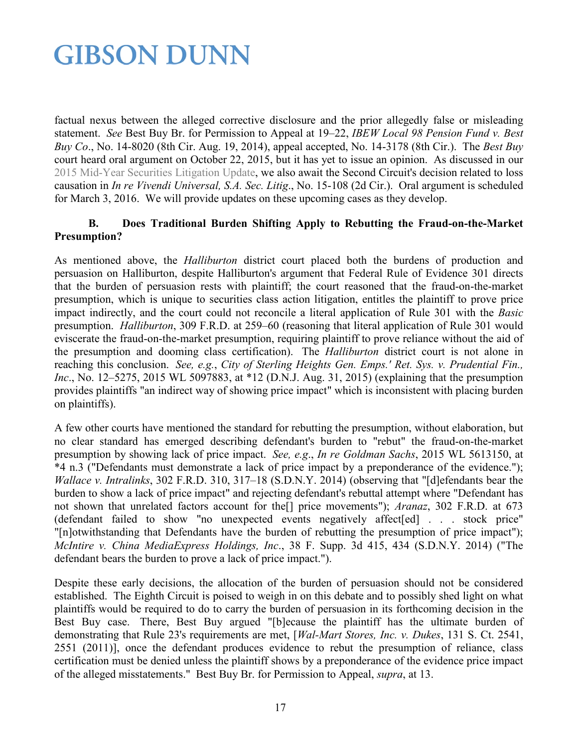factual nexus between the alleged corrective disclosure and the prior allegedly false or misleading statement. *See* Best Buy Br. for Permission to Appeal at 19–22, *IBEW Local 98 Pension Fund v. Best Buy Co*., No. 14-8020 (8th Cir. Aug. 19, 2014), appeal accepted, No. 14-3178 (8th Cir.). The *Best Buy* court heard oral argument on October 22, 2015, but it has yet to issue an opinion. As discussed in our [2015 Mid-Year Securities Litigation Update,](http://www.gibsondunn.com/publications/Documents/2015-Mid-Year-Securities-Litigation-Update.pdf) we also await the Second Circuit's decision related to loss causation in *In re Vivendi Universal, S.A. Sec. Litig*., No. 15-108 (2d Cir.). Oral argument is scheduled for March 3, 2016. We will provide updates on these upcoming cases as they develop.

#### **B. Does Traditional Burden Shifting Apply to Rebutting the Fraud-on-the-Market Presumption?**

As mentioned above, the *Halliburton* district court placed both the burdens of production and persuasion on Halliburton, despite Halliburton's argument that Federal Rule of Evidence 301 directs that the burden of persuasion rests with plaintiff; the court reasoned that the fraud-on-the-market presumption, which is unique to securities class action litigation, entitles the plaintiff to prove price impact indirectly, and the court could not reconcile a literal application of Rule 301 with the *Basic* presumption. *Halliburton*, 309 F.R.D. at 259–60 (reasoning that literal application of Rule 301 would eviscerate the fraud-on-the-market presumption, requiring plaintiff to prove reliance without the aid of the presumption and dooming class certification). The *Halliburton* district court is not alone in reaching this conclusion. *See, e.g.*, *City of Sterling Heights Gen. Emps.' Ret. Sys. v. Prudential Fin., Inc.*, No. 12–5275, 2015 WL 5097883, at \*12 (D.N.J. Aug. 31, 2015) (explaining that the presumption provides plaintiffs "an indirect way of showing price impact" which is inconsistent with placing burden on plaintiffs).

A few other courts have mentioned the standard for rebutting the presumption, without elaboration, but no clear standard has emerged describing defendant's burden to "rebut" the fraud-on-the-market presumption by showing lack of price impact. *See, e.g*., *In re Goldman Sachs*, 2015 WL 5613150, at \*4 n.3 ("Defendants must demonstrate a lack of price impact by a preponderance of the evidence."); *Wallace v. Intralinks*, 302 F.R.D. 310, 317–18 (S.D.N.Y. 2014) (observing that "[d]efendants bear the burden to show a lack of price impact" and rejecting defendant's rebuttal attempt where "Defendant has not shown that unrelated factors account for the[] price movements"); *Aranaz*, 302 F.R.D. at 673 (defendant failed to show "no unexpected events negatively affect[ed] . . . stock price" "[n]otwithstanding that Defendants have the burden of rebutting the presumption of price impact"); *McIntire v. China MediaExpress Holdings, Inc*., 38 F. Supp. 3d 415, 434 (S.D.N.Y. 2014) ("The defendant bears the burden to prove a lack of price impact.").

Despite these early decisions, the allocation of the burden of persuasion should not be considered established. The Eighth Circuit is poised to weigh in on this debate and to possibly shed light on what plaintiffs would be required to do to carry the burden of persuasion in its forthcoming decision in the Best Buy case. There, Best Buy argued "[b]ecause the plaintiff has the ultimate burden of demonstrating that Rule 23's requirements are met, [*Wal-Mart Stores, Inc. v. Dukes*, 131 S. Ct. 2541, 2551 (2011)], once the defendant produces evidence to rebut the presumption of reliance, class certification must be denied unless the plaintiff shows by a preponderance of the evidence price impact of the alleged misstatements." Best Buy Br. for Permission to Appeal, *supra*, at 13.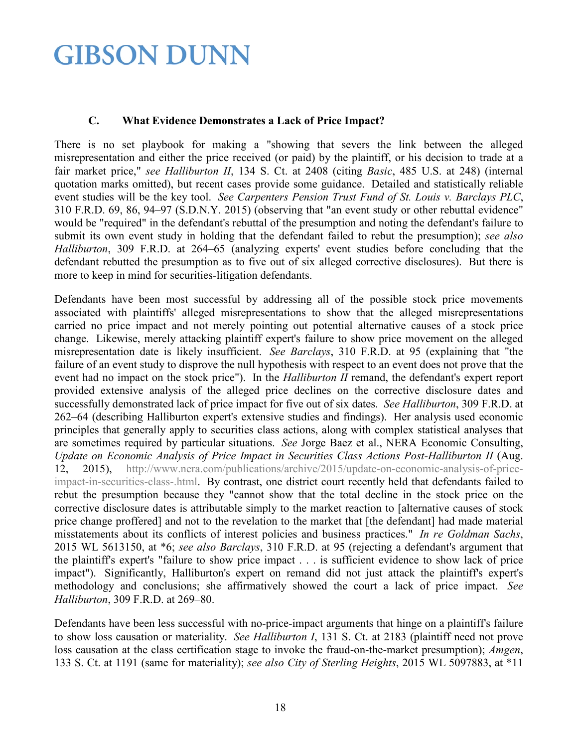#### **C. What Evidence Demonstrates a Lack of Price Impact?**

There is no set playbook for making a "showing that severs the link between the alleged misrepresentation and either the price received (or paid) by the plaintiff, or his decision to trade at a fair market price," *see Halliburton II*, 134 S. Ct. at 2408 (citing *Basic*, 485 U.S. at 248) (internal quotation marks omitted), but recent cases provide some guidance. Detailed and statistically reliable event studies will be the key tool. *See Carpenters Pension Trust Fund of St. Louis v. Barclays PLC*, 310 F.R.D. 69, 86, 94–97 (S.D.N.Y. 2015) (observing that "an event study or other rebuttal evidence" would be "required" in the defendant's rebuttal of the presumption and noting the defendant's failure to submit its own event study in holding that the defendant failed to rebut the presumption); *see also Halliburton*, 309 F.R.D. at 264–65 (analyzing experts' event studies before concluding that the defendant rebutted the presumption as to five out of six alleged corrective disclosures). But there is more to keep in mind for securities-litigation defendants.

Defendants have been most successful by addressing all of the possible stock price movements associated with plaintiffs' alleged misrepresentations to show that the alleged misrepresentations carried no price impact and not merely pointing out potential alternative causes of a stock price change. Likewise, merely attacking plaintiff expert's failure to show price movement on the alleged misrepresentation date is likely insufficient. *See Barclays*, 310 F.R.D. at 95 (explaining that "the failure of an event study to disprove the null hypothesis with respect to an event does not prove that the event had no impact on the stock price"). In the *Halliburton II* remand, the defendant's expert report provided extensive analysis of the alleged price declines on the corrective disclosure dates and successfully demonstrated lack of price impact for five out of six dates. *See Halliburton*, 309 F.R.D. at 262–64 (describing Halliburton expert's extensive studies and findings). Her analysis used economic principles that generally apply to securities class actions, along with complex statistical analyses that are sometimes required by particular situations. *See* Jorge Baez et al., NERA Economic Consulting, *Update on Economic Analysis of Price Impact in Securities Class Actions Post-Halliburton II* (Aug. 12, 2015), [http://www.nera.com/publications/archive/2015/update-on-economic-analysis-of-price](http://www.nera.com/publications/archive/2015/update-on-economic-analysis-of-price-impact-in-securities-class-.html)[impact-in-securities-class-.html.](http://www.nera.com/publications/archive/2015/update-on-economic-analysis-of-price-impact-in-securities-class-.html) By contrast, one district court recently held that defendants failed to rebut the presumption because they "cannot show that the total decline in the stock price on the corrective disclosure dates is attributable simply to the market reaction to [alternative causes of stock price change proffered] and not to the revelation to the market that [the defendant] had made material misstatements about its conflicts of interest policies and business practices." *In re Goldman Sachs*, 2015 WL 5613150, at \*6; *see also Barclays*, 310 F.R.D. at 95 (rejecting a defendant's argument that the plaintiff's expert's "failure to show price impact . . . is sufficient evidence to show lack of price impact"). Significantly, Halliburton's expert on remand did not just attack the plaintiff's expert's methodology and conclusions; she affirmatively showed the court a lack of price impact. *See Halliburton*, 309 F.R.D. at 269–80.

Defendants have been less successful with no-price-impact arguments that hinge on a plaintiff's failure to show loss causation or materiality. *See Halliburton I*, 131 S. Ct. at 2183 (plaintiff need not prove loss causation at the class certification stage to invoke the fraud-on-the-market presumption); *Amgen*, 133 S. Ct. at 1191 (same for materiality); *see also City of Sterling Heights*, 2015 WL 5097883, at \*11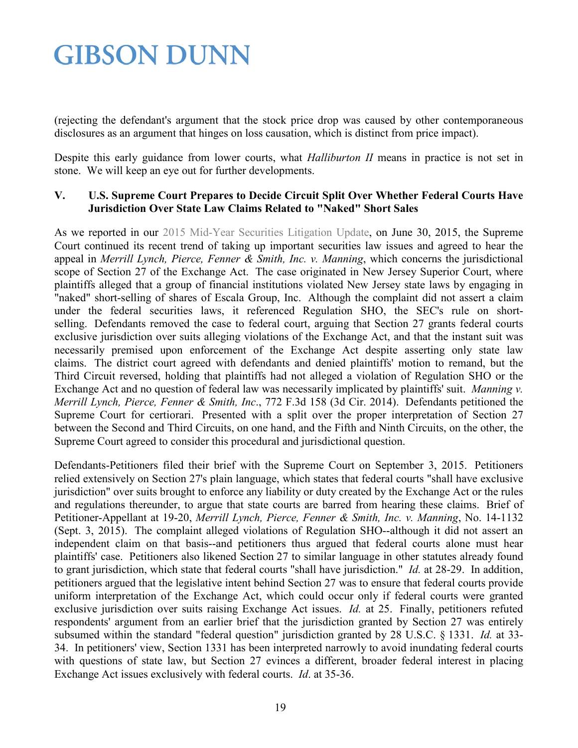(rejecting the defendant's argument that the stock price drop was caused by other contemporaneous disclosures as an argument that hinges on loss causation, which is distinct from price impact).

Despite this early guidance from lower courts, what *Halliburton II* means in practice is not set in stone. We will keep an eye out for further developments.

#### **V. U.S. Supreme Court Prepares to Decide Circuit Split Over Whether Federal Courts Have Jurisdiction Over State Law Claims Related to "Naked" Short Sales**

As we reported in our [2015 Mid-Year Securities Litigation Update,](http://www.gibsondunn.com/publications/Documents/2015-Mid-Year-Securities-Litigation-Update.pdf) on June 30, 2015, the Supreme Court continued its recent trend of taking up important securities law issues and agreed to hear the appeal in *Merrill Lynch, Pierce, Fenner & Smith, Inc. v. Manning*, which concerns the jurisdictional scope of Section 27 of the Exchange Act. The case originated in New Jersey Superior Court, where plaintiffs alleged that a group of financial institutions violated New Jersey state laws by engaging in "naked" short-selling of shares of Escala Group, Inc. Although the complaint did not assert a claim under the federal securities laws, it referenced Regulation SHO, the SEC's rule on shortselling. Defendants removed the case to federal court, arguing that Section 27 grants federal courts exclusive jurisdiction over suits alleging violations of the Exchange Act, and that the instant suit was necessarily premised upon enforcement of the Exchange Act despite asserting only state law claims. The district court agreed with defendants and denied plaintiffs' motion to remand, but the Third Circuit reversed, holding that plaintiffs had not alleged a violation of Regulation SHO or the Exchange Act and no question of federal law was necessarily implicated by plaintiffs' suit. *Manning v. Merrill Lynch, Pierce, Fenner & Smith, Inc*., 772 F.3d 158 (3d Cir. 2014). Defendants petitioned the Supreme Court for certiorari. Presented with a split over the proper interpretation of Section 27 between the Second and Third Circuits, on one hand, and the Fifth and Ninth Circuits, on the other, the Supreme Court agreed to consider this procedural and jurisdictional question.

Defendants-Petitioners filed their brief with the Supreme Court on September 3, 2015. Petitioners relied extensively on Section 27's plain language, which states that federal courts "shall have exclusive jurisdiction" over suits brought to enforce any liability or duty created by the Exchange Act or the rules and regulations thereunder, to argue that state courts are barred from hearing these claims. Brief of Petitioner-Appellant at 19-20, *Merrill Lynch, Pierce, Fenner & Smith, Inc. v. Manning*, No. 14-1132 (Sept. 3, 2015). The complaint alleged violations of Regulation SHO--although it did not assert an independent claim on that basis--and petitioners thus argued that federal courts alone must hear plaintiffs' case. Petitioners also likened Section 27 to similar language in other statutes already found to grant jurisdiction, which state that federal courts "shall have jurisdiction." *Id.* at 28-29. In addition, petitioners argued that the legislative intent behind Section 27 was to ensure that federal courts provide uniform interpretation of the Exchange Act, which could occur only if federal courts were granted exclusive jurisdiction over suits raising Exchange Act issues. *Id.* at 25. Finally, petitioners refuted respondents' argument from an earlier brief that the jurisdiction granted by Section 27 was entirely subsumed within the standard "federal question" jurisdiction granted by 28 U.S.C. § 1331. *Id.* at 33- 34. In petitioners' view, Section 1331 has been interpreted narrowly to avoid inundating federal courts with questions of state law, but Section 27 evinces a different, broader federal interest in placing Exchange Act issues exclusively with federal courts. *Id*. at 35-36.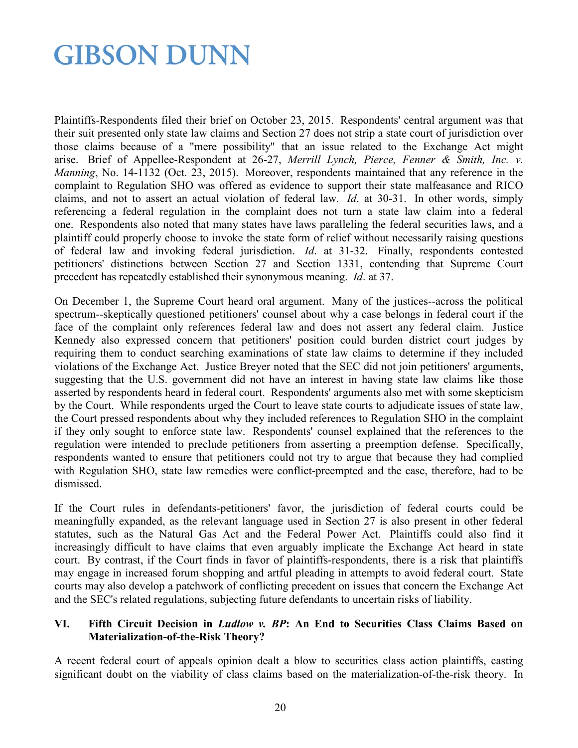Plaintiffs-Respondents filed their brief on October 23, 2015. Respondents' central argument was that their suit presented only state law claims and Section 27 does not strip a state court of jurisdiction over those claims because of a "mere possibility" that an issue related to the Exchange Act might arise. Brief of Appellee-Respondent at 26-27, *Merrill Lynch, Pierce, Fenner & Smith, Inc. v. Manning*, No. 14-1132 (Oct. 23, 2015). Moreover, respondents maintained that any reference in the complaint to Regulation SHO was offered as evidence to support their state malfeasance and RICO claims, and not to assert an actual violation of federal law. *Id*. at 30-31. In other words, simply referencing a federal regulation in the complaint does not turn a state law claim into a federal one. Respondents also noted that many states have laws paralleling the federal securities laws, and a plaintiff could properly choose to invoke the state form of relief without necessarily raising questions of federal law and invoking federal jurisdiction. *Id*. at 31-32. Finally, respondents contested petitioners' distinctions between Section 27 and Section 1331, contending that Supreme Court precedent has repeatedly established their synonymous meaning. *Id*. at 37.

On December 1, the Supreme Court heard oral argument. Many of the justices--across the political spectrum--skeptically questioned petitioners' counsel about why a case belongs in federal court if the face of the complaint only references federal law and does not assert any federal claim. Justice Kennedy also expressed concern that petitioners' position could burden district court judges by requiring them to conduct searching examinations of state law claims to determine if they included violations of the Exchange Act. Justice Breyer noted that the SEC did not join petitioners' arguments, suggesting that the U.S. government did not have an interest in having state law claims like those asserted by respondents heard in federal court. Respondents' arguments also met with some skepticism by the Court. While respondents urged the Court to leave state courts to adjudicate issues of state law, the Court pressed respondents about why they included references to Regulation SHO in the complaint if they only sought to enforce state law. Respondents' counsel explained that the references to the regulation were intended to preclude petitioners from asserting a preemption defense. Specifically, respondents wanted to ensure that petitioners could not try to argue that because they had complied with Regulation SHO, state law remedies were conflict-preempted and the case, therefore, had to be dismissed.

If the Court rules in defendants-petitioners' favor, the jurisdiction of federal courts could be meaningfully expanded, as the relevant language used in Section 27 is also present in other federal statutes, such as the Natural Gas Act and the Federal Power Act. Plaintiffs could also find it increasingly difficult to have claims that even arguably implicate the Exchange Act heard in state court. By contrast, if the Court finds in favor of plaintiffs-respondents, there is a risk that plaintiffs may engage in increased forum shopping and artful pleading in attempts to avoid federal court. State courts may also develop a patchwork of conflicting precedent on issues that concern the Exchange Act and the SEC's related regulations, subjecting future defendants to uncertain risks of liability.

#### **VI. Fifth Circuit Decision in** *Ludlow v. BP***: An End to Securities Class Claims Based on Materialization-of-the-Risk Theory?**

A recent federal court of appeals opinion dealt a blow to securities class action plaintiffs, casting significant doubt on the viability of class claims based on the materialization-of-the-risk theory. In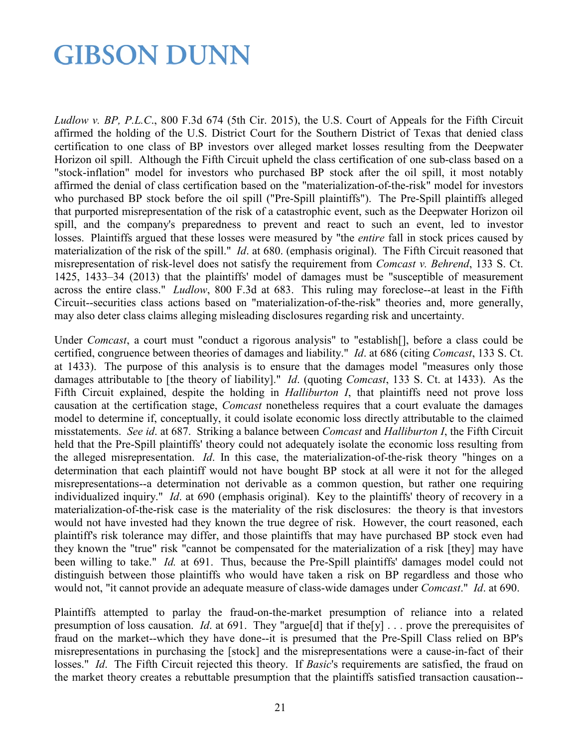*Ludlow v. BP, P.L.C*., 800 F.3d 674 (5th Cir. 2015), the U.S. Court of Appeals for the Fifth Circuit affirmed the holding of the U.S. District Court for the Southern District of Texas that denied class certification to one class of BP investors over alleged market losses resulting from the Deepwater Horizon oil spill. Although the Fifth Circuit upheld the class certification of one sub-class based on a "stock-inflation" model for investors who purchased BP stock after the oil spill, it most notably affirmed the denial of class certification based on the "materialization-of-the-risk" model for investors who purchased BP stock before the oil spill ("Pre-Spill plaintiffs"). The Pre-Spill plaintiffs alleged that purported misrepresentation of the risk of a catastrophic event, such as the Deepwater Horizon oil spill, and the company's preparedness to prevent and react to such an event, led to investor losses. Plaintiffs argued that these losses were measured by "the *entire* fall in stock prices caused by materialization of the risk of the spill." *Id*. at 680. (emphasis original). The Fifth Circuit reasoned that misrepresentation of risk-level does not satisfy the requirement from *Comcast v. Behrend*, 133 S. Ct. 1425, 1433–34 (2013) that the plaintiffs' model of damages must be "susceptible of measurement across the entire class." *Ludlow*, 800 F.3d at 683. This ruling may foreclose--at least in the Fifth Circuit--securities class actions based on "materialization-of-the-risk" theories and, more generally, may also deter class claims alleging misleading disclosures regarding risk and uncertainty.

Under *Comcast*, a court must "conduct a rigorous analysis" to "establish[], before a class could be certified, congruence between theories of damages and liability." *Id*. at 686 (citing *Comcast*, 133 S. Ct. at 1433). The purpose of this analysis is to ensure that the damages model "measures only those damages attributable to [the theory of liability]." *Id*. (quoting *Comcast*, 133 S. Ct. at 1433). As the Fifth Circuit explained, despite the holding in *Halliburton I*, that plaintiffs need not prove loss causation at the certification stage, *Comcast* nonetheless requires that a court evaluate the damages model to determine if, conceptually, it could isolate economic loss directly attributable to the claimed misstatements. *See id*. at 687. Striking a balance between *Comcast* and *Halliburton I*, the Fifth Circuit held that the Pre-Spill plaintiffs' theory could not adequately isolate the economic loss resulting from the alleged misrepresentation. *Id*. In this case, the materialization-of-the-risk theory "hinges on a determination that each plaintiff would not have bought BP stock at all were it not for the alleged misrepresentations--a determination not derivable as a common question, but rather one requiring individualized inquiry." *Id*. at 690 (emphasis original). Key to the plaintiffs' theory of recovery in a materialization-of-the-risk case is the materiality of the risk disclosures: the theory is that investors would not have invested had they known the true degree of risk. However, the court reasoned, each plaintiff's risk tolerance may differ, and those plaintiffs that may have purchased BP stock even had they known the "true" risk "cannot be compensated for the materialization of a risk [they] may have been willing to take." *Id.* at 691. Thus, because the Pre-Spill plaintiffs' damages model could not distinguish between those plaintiffs who would have taken a risk on BP regardless and those who would not, "it cannot provide an adequate measure of class-wide damages under *Comcast*." *Id*. at 690.

Plaintiffs attempted to parlay the fraud-on-the-market presumption of reliance into a related presumption of loss causation. *Id*. at 691. They "argue[d] that if the[y] . . . prove the prerequisites of fraud on the market--which they have done--it is presumed that the Pre-Spill Class relied on BP's misrepresentations in purchasing the [stock] and the misrepresentations were a cause-in-fact of their losses." *Id*. The Fifth Circuit rejected this theory. If *Basic*'s requirements are satisfied, the fraud on the market theory creates a rebuttable presumption that the plaintiffs satisfied transaction causation--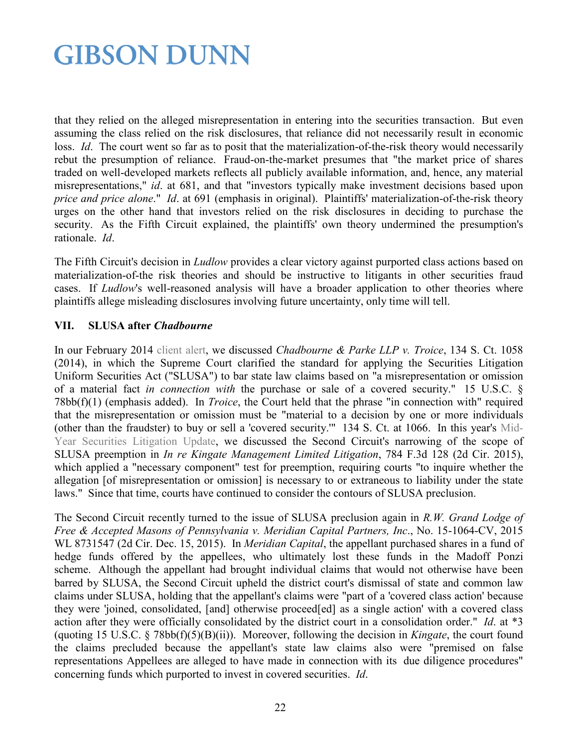that they relied on the alleged misrepresentation in entering into the securities transaction. But even assuming the class relied on the risk disclosures, that reliance did not necessarily result in economic loss. *Id.* The court went so far as to posit that the materialization-of-the-risk theory would necessarily rebut the presumption of reliance. Fraud-on-the-market presumes that "the market price of shares traded on well-developed markets reflects all publicly available information, and, hence, any material misrepresentations," *id*. at 681, and that "investors typically make investment decisions based upon *price and price alone*." *Id*. at 691 (emphasis in original). Plaintiffs' materialization-of-the-risk theory urges on the other hand that investors relied on the risk disclosures in deciding to purchase the security. As the Fifth Circuit explained, the plaintiffs' own theory undermined the presumption's rationale. *Id*.

The Fifth Circuit's decision in *Ludlow* provides a clear victory against purported class actions based on materialization-of-the risk theories and should be instructive to litigants in other securities fraud cases. If *Ludlow*'s well-reasoned analysis will have a broader application to other theories where plaintiffs allege misleading disclosures involving future uncertainty, only time will tell.

#### **VII. SLUSA after** *Chadbourne*

In our February 2014 [client alert,](http://www.gibsondunn.com/publications/pages/US-Supreme-Court-Allows-State-Law-Securities-Class-Actions-to-Proceed.aspx) we discussed *Chadbourne & Parke LLP v. Troice*, 134 S. Ct. 1058 (2014), in which the Supreme Court clarified the standard for applying the Securities Litigation Uniform Securities Act ("SLUSA") to bar state law claims based on "a misrepresentation or omission of a material fact *in connection with* the purchase or sale of a covered security." 15 U.S.C. § 78bb(f)(1) (emphasis added). In *Troice*, the Court held that the phrase "in connection with" required that the misrepresentation or omission must be "material to a decision by one or more individuals (other than the fraudster) to buy or sell a 'covered security.'" 134 S. Ct. at 1066. In this year's [Mid-](http://www.gibsondunn.com/publications/Documents/2015-Mid-Year-Securities-Litigation-Update.pdf)[Year Securities Litigation Update,](http://www.gibsondunn.com/publications/Documents/2015-Mid-Year-Securities-Litigation-Update.pdf) we discussed the Second Circuit's narrowing of the scope of SLUSA preemption in *In re Kingate Management Limited Litigation*, 784 F.3d 128 (2d Cir. 2015), which applied a "necessary component" test for preemption, requiring courts "to inquire whether the allegation [of misrepresentation or omission] is necessary to or extraneous to liability under the state laws." Since that time, courts have continued to consider the contours of SLUSA preclusion.

The Second Circuit recently turned to the issue of SLUSA preclusion again in *R.W. Grand Lodge of Free & Accepted Masons of Pennsylvania v. Meridian Capital Partners, Inc*., No. 15-1064-CV, 2015 WL 8731547 (2d Cir. Dec. 15, 2015). In *Meridian Capital*, the appellant purchased shares in a fund of hedge funds offered by the appellees, who ultimately lost these funds in the Madoff Ponzi scheme. Although the appellant had brought individual claims that would not otherwise have been barred by SLUSA, the Second Circuit upheld the district court's dismissal of state and common law claims under SLUSA, holding that the appellant's claims were "part of a 'covered class action' because they were 'joined, consolidated, [and] otherwise proceed[ed] as a single action' with a covered class action after they were officially consolidated by the district court in a consolidation order." *Id*. at \*3 (quoting 15 U.S.C. § 78bb(f)(5)(B)(ii)). Moreover, following the decision in *Kingate*, the court found the claims precluded because the appellant's state law claims also were "premised on false representations Appellees are alleged to have made in connection with its due diligence procedures" concerning funds which purported to invest in covered securities. *Id*.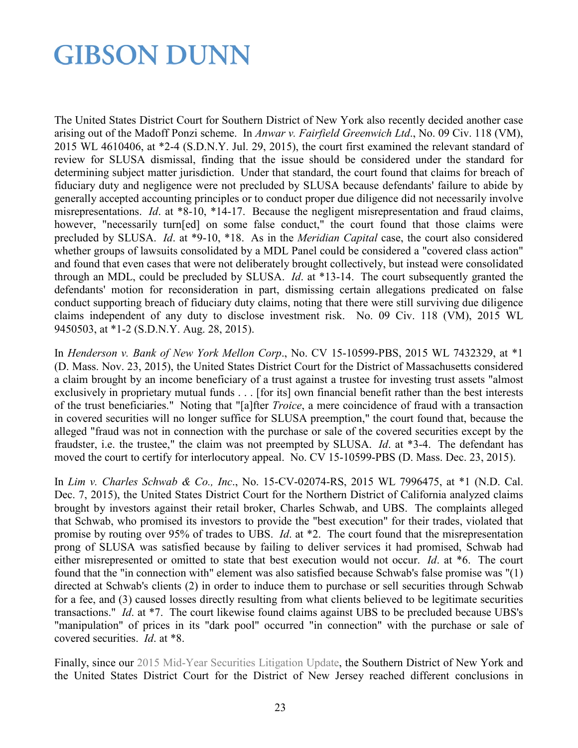The United States District Court for Southern District of New York also recently decided another case arising out of the Madoff Ponzi scheme. In *Anwar v. Fairfield Greenwich Ltd*., No. 09 Civ. 118 (VM), 2015 WL 4610406, at \*2-4 (S.D.N.Y. Jul. 29, 2015), the court first examined the relevant standard of review for SLUSA dismissal, finding that the issue should be considered under the standard for determining subject matter jurisdiction. Under that standard, the court found that claims for breach of fiduciary duty and negligence were not precluded by SLUSA because defendants' failure to abide by generally accepted accounting principles or to conduct proper due diligence did not necessarily involve misrepresentations. *Id*. at \*8-10, \*14-17. Because the negligent misrepresentation and fraud claims, however, "necessarily turn[ed] on some false conduct," the court found that those claims were precluded by SLUSA. *Id*. at \*9-10, \*18. As in the *Meridian Capital* case, the court also considered whether groups of lawsuits consolidated by a MDL Panel could be considered a "covered class action" and found that even cases that were not deliberately brought collectively, but instead were consolidated through an MDL, could be precluded by SLUSA. *Id*. at \*13-14. The court subsequently granted the defendants' motion for reconsideration in part, dismissing certain allegations predicated on false conduct supporting breach of fiduciary duty claims, noting that there were still surviving due diligence claims independent of any duty to disclose investment risk. No. 09 Civ. 118 (VM), 2015 WL 9450503, at \*1-2 (S.D.N.Y. Aug. 28, 2015).

In *Henderson v. Bank of New York Mellon Corp*., No. CV 15-10599-PBS, 2015 WL 7432329, at \*1 (D. Mass. Nov. 23, 2015), the United States District Court for the District of Massachusetts considered a claim brought by an income beneficiary of a trust against a trustee for investing trust assets "almost exclusively in proprietary mutual funds . . . [for its] own financial benefit rather than the best interests of the trust beneficiaries." Noting that "[a]fter *Troice*, a mere coincidence of fraud with a transaction in covered securities will no longer suffice for SLUSA preemption," the court found that, because the alleged "fraud was not in connection with the purchase or sale of the covered securities except by the fraudster, i.e. the trustee," the claim was not preempted by SLUSA. *Id*. at \*3-4. The defendant has moved the court to certify for interlocutory appeal. No. CV 15-10599-PBS (D. Mass. Dec. 23, 2015).

In *Lim v. Charles Schwab & Co., Inc*., No. 15-CV-02074-RS, 2015 WL 7996475, at \*1 (N.D. Cal. Dec. 7, 2015), the United States District Court for the Northern District of California analyzed claims brought by investors against their retail broker, Charles Schwab, and UBS. The complaints alleged that Schwab, who promised its investors to provide the "best execution" for their trades, violated that promise by routing over 95% of trades to UBS. *Id*. at \*2. The court found that the misrepresentation prong of SLUSA was satisfied because by failing to deliver services it had promised, Schwab had either misrepresented or omitted to state that best execution would not occur. *Id*. at \*6. The court found that the "in connection with" element was also satisfied because Schwab's false promise was "(1) directed at Schwab's clients (2) in order to induce them to purchase or sell securities through Schwab for a fee, and (3) caused losses directly resulting from what clients believed to be legitimate securities transactions." *Id*. at \*7. The court likewise found claims against UBS to be precluded because UBS's "manipulation" of prices in its "dark pool" occurred "in connection" with the purchase or sale of covered securities. *Id*. at \*8.

Finally, since our [2015 Mid-Year Securities Litigation Update,](http://www.gibsondunn.com/publications/Documents/2015-Mid-Year-Securities-Litigation-Update.pdf) the Southern District of New York and the United States District Court for the District of New Jersey reached different conclusions in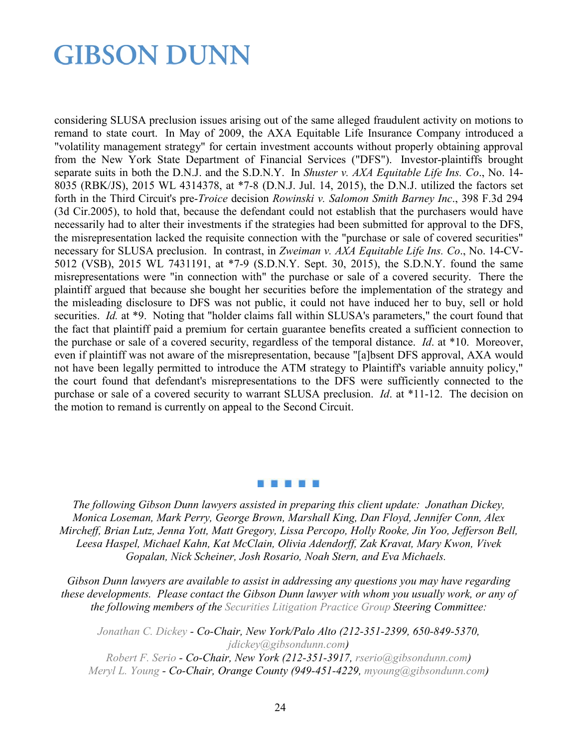considering SLUSA preclusion issues arising out of the same alleged fraudulent activity on motions to remand to state court. In May of 2009, the AXA Equitable Life Insurance Company introduced a "volatility management strategy" for certain investment accounts without properly obtaining approval from the New York State Department of Financial Services ("DFS"). Investor-plaintiffs brought separate suits in both the D.N.J. and the S.D.N.Y. In *Shuster v. AXA Equitable Life Ins. Co*., No. 14- 8035 (RBK/JS), 2015 WL 4314378, at \*7-8 (D.N.J. Jul. 14, 2015), the D.N.J. utilized the factors set forth in the Third Circuit's pre-*Troice* decision *Rowinski v. Salomon Smith Barney Inc*., 398 F.3d 294 (3d Cir.2005), to hold that, because the defendant could not establish that the purchasers would have necessarily had to alter their investments if the strategies had been submitted for approval to the DFS, the misrepresentation lacked the requisite connection with the "purchase or sale of covered securities" necessary for SLUSA preclusion. In contrast, in *Zweiman v. AXA Equitable Life Ins. Co*., No. 14-CV-5012 (VSB), 2015 WL 7431191, at \*7-9 (S.D.N.Y. Sept. 30, 2015), the S.D.N.Y. found the same misrepresentations were "in connection with" the purchase or sale of a covered security. There the plaintiff argued that because she bought her securities before the implementation of the strategy and the misleading disclosure to DFS was not public, it could not have induced her to buy, sell or hold securities. *Id.* at \*9. Noting that "holder claims fall within SLUSA's parameters," the court found that the fact that plaintiff paid a premium for certain guarantee benefits created a sufficient connection to the purchase or sale of a covered security, regardless of the temporal distance. *Id*. at \*10. Moreover, even if plaintiff was not aware of the misrepresentation, because "[a]bsent DFS approval, AXA would not have been legally permitted to introduce the ATM strategy to Plaintiff's variable annuity policy," the court found that defendant's misrepresentations to the DFS were sufficiently connected to the purchase or sale of a covered security to warrant SLUSA preclusion. *Id*. at \*11-12. The decision on the motion to remand is currently on appeal to the Second Circuit.

#### 5 6 6 6 6

*The following Gibson Dunn lawyers assisted in preparing this client update: Jonathan Dickey, Monica Loseman, Mark Perry, George Brown, Marshall King, Dan Floyd, Jennifer Conn, Alex Mircheff, Brian Lutz, Jenna Yott, Matt Gregory, Lissa Percopo, Holly Rooke, Jin Yoo, Jefferson Bell, Leesa Haspel, Michael Kahn, Kat McClain, Olivia Adendorff, Zak Kravat, Mary Kwon, Vivek Gopalan, Nick Scheiner, Josh Rosario, Noah Stern, and Eva Michaels.* 

*Gibson Dunn lawyers are available to assist in addressing any questions you may have regarding these developments. Please contact the Gibson Dunn lawyer with whom you usually work, or any of the following members of the [Securities Litigation Practice Group](http://gibsondunn.com/practices/Pages/sec.aspx) Steering Committee:* 

*[Jonathan C. Dickey](http://gibsondunn.com/Lawyers/jdickey) - Co-Chair, New York/Palo Alto (212-351-2399, 650-849-5370, [jdickey@gibsondunn.com\)](mailto:jdickey@gibsondunn.com)*

*[Robert F. Serio](http://gibsondunn.com/lawyers/rserio) - Co-Chair, New York (212-351-3917, [rserio@gibsondunn.com\)](mailto:rserio@gibsondunn.com) [Meryl L. Young](http://gibsondunn.com/Lawyers/myoung) - Co-Chair, Orange County (949-451-4229, [myoung@gibsondunn.com\)](mailto:myoung@gibsondunn.com)*